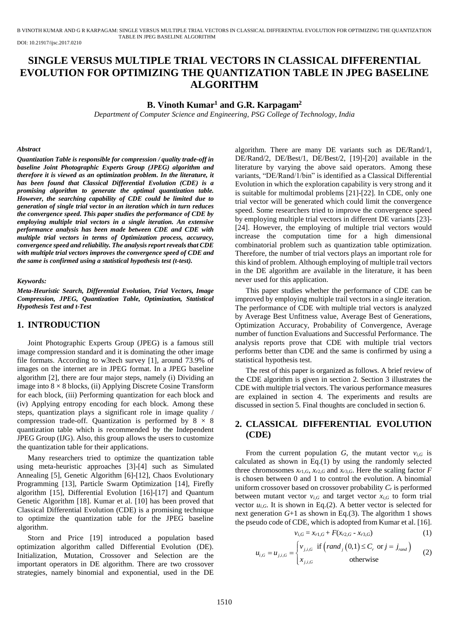B VINOTH KUMAR AND G R KARPAGAM: SINGLE VERSUS MULTIPLE TRIAL VECTORS IN CLASSICAL DIFFERENTIAL EVOLUTION FOR OPTIMIZING THE QUANTIZATION TABLE IN JPEG BASELINE ALGORITHM

DOI: 10.21917/ijsc.2017.0210

# **SINGLE VERSUS MULTIPLE TRIAL VECTORS IN CLASSICAL DIFFERENTIAL EVOLUTION FOR OPTIMIZING THE QUANTIZATION TABLE IN JPEG BASELINE ALGORITHM**

### **B. Vinoth Kumar<sup>1</sup> and G.R. Karpagam<sup>2</sup>**

*Department of Computer Science and Engineering, PSG College of Technology, India*

#### *Abstract*

*Quantization Table is responsible for compression / quality trade-off in baseline Joint Photographic Experts Group (JPEG) algorithm and therefore it is viewed as an optimization problem. In the literature, it has been found that Classical Differential Evolution (CDE) is a promising algorithm to generate the optimal quantization table. However, the searching capability of CDE could be limited due to generation of single trial vector in an iteration which in turn reduces the convergence speed. This paper studies the performance of CDE by employing multiple trial vectors in a single iteration. An extensive performance analysis has been made between CDE and CDE with multiple trial vectors in terms of Optimization process, accuracy, convergence speed and reliability. The analysis report reveals that CDE with multiple trial vectors improves the convergence speed of CDE and the same is confirmed using a statistical hypothesis test (t-test).*

#### *Keywords:*

*Meta-Heuristic Search, Differential Evolution, Trial Vectors, Image Compression, JPEG, Quantization Table, Optimization, Statistical Hypothesis Test and t-Test*

### **1. INTRODUCTION**

Joint Photographic Experts Group (JPEG) is a famous still image compression standard and it is dominating the other image file formats. According to w3tech survey [1], around 73.9% of images on the internet are in JPEG format. In a JPEG baseline algorithm [2], there are four major steps, namely (i) Dividing an image into  $8 \times 8$  blocks, (ii) Applying Discrete Cosine Transform for each block, (iii) Performing quantization for each block and (iv) Applying entropy encoding for each block. Among these steps, quantization plays a significant role in image quality / compression trade-off. Quantization is performed by  $8 \times 8$ quantization table which is recommended by the Independent JPEG Group (IJG). Also, this group allows the users to customize the quantization table for their applications.

Many researchers tried to optimize the quantization table using meta-heuristic approaches [3]-[4] such as Simulated Annealing [5], Genetic Algorithm [6]-[12], Chaos Evolutionary Programming [13], Particle Swarm Optimization [14], Firefly algorithm [15], Differential Evolution [16]-[17] and Quantum Genetic Algorithm [18]. Kumar et al. [10] has been proved that Classical Differential Evolution (CDE) is a promising technique to optimize the quantization table for the JPEG baseline algorithm.

Storn and Price [19] introduced a population based optimization algorithm called Differential Evolution (DE). Initialization, Mutation, Crossover and Selection are the important operators in DE algorithm. There are two crossover strategies, namely binomial and exponential, used in the DE algorithm. There are many DE variants such as DE/Rand/1, DE/Rand/2, DE/Best/1, DE/Best/2, [19]-[20] available in the literature by varying the above said operators. Among these variants, "DE/Rand/1/bin" is identified as a Classical Differential Evolution in which the exploration capability is very strong and it is suitable for multimodal problems [21]-[22]. In CDE, only one trial vector will be generated which could limit the convergence speed. Some researchers tried to improve the convergence speed by employing multiple trial vectors in different DE variants [23]- [24]. However, the employing of multiple trial vectors would increase the computation time for a high dimensional combinatorial problem such as quantization table optimization. Therefore, the number of trial vectors plays an important role for this kind of problem. Although employing of multiple trail vectors in the DE algorithm are available in the literature, it has been never used for this application.

This paper studies whether the performance of CDE can be improved by employing multiple trail vectors in a single iteration. The performance of CDE with multiple trial vectors is analyzed by Average Best Unfitness value, Average Best of Generations, Optimization Accuracy, Probability of Convergence, Average number of function Evaluations and Successful Performance. The analysis reports prove that CDE with multiple trial vectors performs better than CDE and the same is confirmed by using a statistical hypothesis test.

The rest of this paper is organized as follows. A brief review of the CDE algorithm is given in section 2. Section 3 illustrates the CDE with multiple trial vectors. The various performance measures are explained in section 4. The experiments and results are discussed in section 5. Final thoughts are concluded in section 6.

# **2. CLASSICAL DIFFERENTIAL EVOLUTION (CDE)**

From the current population *G*, the mutant vector  $v_{i,G}$  is calculated as shown in Eq.(1) by using the randomly selected three chromosomes  $x_{r1,G}$ ,  $x_{r2,G}$  and  $x_{r3,G}$ . Here the scaling factor *F* is chosen between 0 and 1 to control the evolution. A binomial uniform crossover based on crossover probability *C<sup>r</sup>* is performed between mutant vector  $v_{i,G}$  and target vector  $x_{i,G}$  to form trial vector  $u_{i,G}$ . It is shown in Eq.(2). A better vector is selected for next generation  $G+1$  as shown in Eq.(3). The algorithm 1 shows the pseudo code of CDE, which is adopted from Kumar et al. [16].

$$
v_{i,G} = x_{r1,G} + F(x_{r2,G} - x_{r3,G})
$$
 (1)

$$
v_{i,G} = x_{r1,G} + F(x_{r2,G} - x_{r3,G})
$$
(1)  

$$
u_{i,G} = u_{j,i,G} = \begin{cases} v_{j,i,G} & \text{if } (rand_j(0,1) \le C_r \text{ or } j = j_{rand})\\ x_{j,i,G} & \text{otherwise} \end{cases}
$$
(2)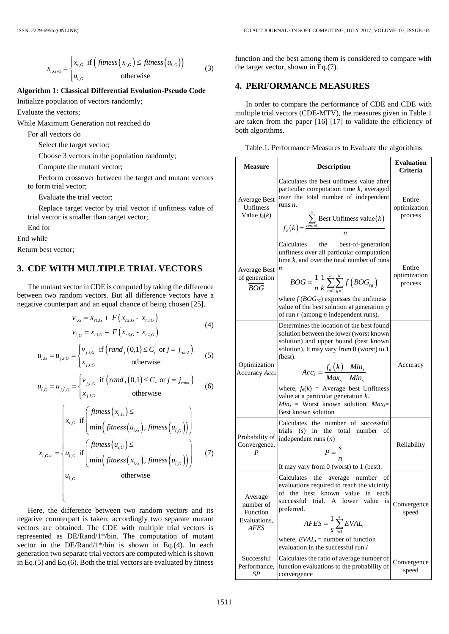$$
x_{i,G+1} = \begin{cases} x_{i,G} & \text{if } \left( \text{fitness}\left(x_{i,G}\right) \leq \text{fitness}\left(u_{i,G}\right) \right) \\ u_{i,G} & \text{otherwise} \end{cases}
$$
(3)

### **Algorithm 1: Classical Differential Evolution-Pseudo Code**

Initialize population of vectors randomly;

Evaluate the vectors;

While Maximum Generation not reached do

For all vectors do

Select the target vector;

Choose 3 vectors in the population randomly;

Compute the mutant vector;

Perform crossover between the target and mutant vectors to form trial vector;

Evaluate the trial vector;

Replace target vector by trial vector if unfitness value of trial vector is smaller than target vector;

End for

End while

Return best vector;

### **3. CDE WITH MULTIPLE TRIAL VECTORS**

The mutant vector in CDE is computed by taking the difference between two random vectors. But all difference vectors have a negative counterpart and an equal chance of being chosen [25].

$$
v_{i,G} = x_{r1,G} + F(x_{r2,G} - x_{r3,G})
$$
  
\n
$$
v_{\hat{i},G} = x_{r1,G} + F(x_{r3,G} - x_{r2,G})
$$
\n(4)

$$
u_{i,G} = u_{j,i,G} = \begin{cases} v_{j,i,G} & \text{if } \left(\text{rand}_j(0,1) \le C_r \text{ or } j = j_{\text{rand}}\right) \\ x_{j,i,G} & \text{otherwise} \end{cases}
$$
(5)

$$
u_{i,G} = u_{j,i,G} = \begin{cases} v_{j,i,G} & \text{if } (rand_j(0,1) \le C_r \text{ or } j = j_{rand})\\ x_{j,i,G} & \text{otherwise} \end{cases}
$$
(6)

$$
x_{i,G+1} =\begin{cases} x_{i,G} & \text{if } (fitness(x_{i,G}) \leq fines(x_{i,G})) \\ u_{i,G} & \text{otherwise} \end{cases}
$$
(3)  
the  
thm 1: Classical Differential Evolution-Pseudo Code  
re population of vectors randomly;  
the vectors;  
Maximum Generation not reached do  
all vectors do  
all vectors do  
all vectors of  
Solect the target vector;  
Choose 3 vectors in the population randomly;  
Compute the mutant vector;  
Perform crossover between the target and mutant vectors  
form trial vector;  
Evaluate the trial vector;  
revalue target vector by trial vector if unfitness value of  
Replace target vector by trial vector; if unfitness value of  
l vector is smaller than target vector;  
in the  
best vector;  
**DE WITH MULTIPLE TRIAL VECTORS**  
mutant vector in CDE is computed by taking the difference  
in two random vectors. But all difference vectors have a  
equation vectors. But all difference vectors by real  
to some order that and equal chance of being chosen [25].  

$$
v_{i,G} = x_{r1,G} + F(x_{r2,G} - x_{r2,G})
$$
(4)  

$$
v_{i,G} = u_{j,i,G} = \begin{cases} v_{j,i,G} & \text{if } (rand_j(0,1) \leq C, \text{ or } j = j_{rand}) \\ x_{j,G} & \text{otherwise} \end{cases}
$$
(5)  

$$
u_{i,G} = u_{j,i,G} = \begin{cases} v_{j,i,G} & \text{if } (rand_j(0,1) \leq C, \text{ or } j = j_{rand}) \\ x_{j,G} & \text{otherwise} \end{cases}
$$
(6)  

$$
x_{i,G+1} = \begin{cases} x_{i,G} & \text{if } (find_j(0,1) \leq C, \text{ or } j = j_{rand}) \\ x_{i,G} & \text{otherwise} \end{cases}
$$
(7)  

$$
x_{i,G+1} = \begin{cases} x_{i,G} & \text{if } (find_j(0,1) \leq C, \text{ or } j = j_{rand}) \\ u_{i,G} & \text{otherwise} \end{cases}
$$
  

$$
u_{i,G} = \begin{cases} x_{i,G} & \text{if } (find_j(0,1) \leq C, \text{ or } j = j_{mod}) \\ u_{i,G} & \text{otherwise} \end{cases}
$$
  

$$
u_{i,G} = \begin{cases} x_{i,G} & \text{if } (find_j(0,1) \leq C, \text{ or } j = j
$$

Here, the difference between two random vectors and its negative counterpart is taken; accordingly two separate mutant vectors are obtained. The CDE with multiple trial vectors is represented as DE/Rand/1\*/bin. The computation of mutant vector in the DE/Rand/1\*/bin is shown in Eq.(4). In each generation two separate trial vectors are computed which is shown in Eq.(5) and Eq.(6). Both the trial vectors are evaluated by fitness

 $\overline{\mathcal{L}}$ 

function and the best among them is considered to compare with the target vector, shown in Eq.(7).

### **4. PERFORMANCE MEASURES**

In order to compare the performance of CDE and CDE with multiple trial vectors (CDE-MTV), the measures given in Table.1 are taken from the paper [16] [17] to validate the efficiency of both algorithms.

| Table.1. Performance Measures to Evaluate the algorithms |  |  |
|----------------------------------------------------------|--|--|
|----------------------------------------------------------|--|--|

| <b>Measure</b>                                                  | <b>Description</b>                                                                                                                                                                                                                                                                                                                                                                              | <b>Evaluation</b><br>Criteria     |
|-----------------------------------------------------------------|-------------------------------------------------------------------------------------------------------------------------------------------------------------------------------------------------------------------------------------------------------------------------------------------------------------------------------------------------------------------------------------------------|-----------------------------------|
| <b>Average Best</b><br>Unfitness<br>Value $f_a(k)$              | Calculates the best unfitness value after<br>particular computation time $k$ , averaged<br>over the total number of independent<br>runs $n$ .<br>$f_a(k) = \frac{\sum_{nms=1}^{n} \text{Best Unfitness value}(k)}{n}$                                                                                                                                                                           | Entire<br>optimization<br>process |
| Average Best<br>of generation<br><b>BOG</b>                     | the<br>Calculates<br>best-of-generation<br>unfitness over all particular computation<br>time $k$ , and over the total number of runs<br>n.<br>$\overline{BOG} = \frac{1}{n} \frac{1}{k} \sum_{r=1}^{n} \sum_{q=1}^{k} f\left( BOG_{rg} \right)$<br>where $f(BOG_{rg})$ expresses the unfitness<br>value of the best solution at generation g<br>of run $r$ (among $n$ independent runs).        | Entire<br>optimization<br>process |
| Optimization<br>Accuracy Acck                                   | Determines the location of the best found<br>solution between the lower (worst known<br>solution) and upper bound (best known<br>solution). It may vary from 0 (worst) to 1<br>(best).<br>$Acc_k = \frac{f_a(k) - Min_s}{Max_s - Min_s}$<br>where, $f_a(k)$ = Average best Unfitness<br>value at a particular generation k.<br>$Min_s$ = Worst known solution, $Max_s$ =<br>Best known solution | Accuracy                          |
| Probability of<br>Convergence,<br>P                             | Calculates the number of successful<br>trials $(s)$ in<br>the total number<br>οf<br>independent runs $(n)$<br>$P=\frac{s}{n}$<br>It may vary from $0$ (worst) to $1$ (best).                                                                                                                                                                                                                    | Reliability                       |
| Average<br>number of<br>Function<br>Evaluations,<br><b>AFES</b> | Calculates the average number<br>οt<br>evaluations required to reach the vicinity<br>of the best known value in each<br>trial. A lower value is<br>successful<br>preferred.<br>$AFES = \frac{1}{S}\sum_{i=1}^{S}EVAL_{i}$<br>where, $EVAL_i$ = number of function<br>evaluation in the successful run i                                                                                         | Convergence<br>speed              |
| Successful<br>Performance,<br>SP                                | Calculates the ratio of average number of<br>function evaluations to the probability of<br>convergence                                                                                                                                                                                                                                                                                          | Convergence<br>speed              |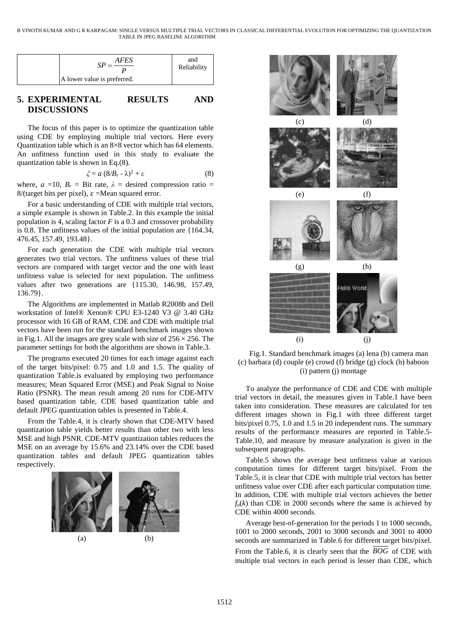| AFES                        | and<br>Reliability |
|-----------------------------|--------------------|
| A lower value is preferred. |                    |

# **5. EXPERIMENTAL RESULTS AND DISCUSSIONS**

The focus of this paper is to optimize the quantization table using CDE by employing multiple trial vectors. Here every Quantization table which is an 8×8 vector which has 64 elements. An unfitness function used in this study to evaluate the quantization table is shown in Eq.(8).

$$
\xi = a (8/B_r - \lambda)^2 + \varepsilon \tag{8}
$$

where,  $a =10$ ,  $B_r =$  Bit rate,  $\lambda =$  desired compression ratio = 8/(target bits per pixel),  $\varepsilon$  =Mean squared error.

For a basic understanding of CDE with multiple trial vectors, a simple example is shown in Table.2. In this example the initial population is 4, scaling factor  $F$  is a 0.3 and crossover probability is 0.8. The unfitness values of the initial population are {164.34, 476.45, 157.49, 193.48}.

For each generation the CDE with multiple trial vectors generates two trial vectors. The unfitness values of these trial vectors are compared with target vector and the one with least unfitness value is selected for next population. The unfitness values after two generations are {115.30, 146.98, 157.49, 136.79}.

The Algorithms are implemented in Matlab R2008b and Dell workstation of Intel® Xenon® CPU E3-1240 V3 @ 3.40 GHz processor with 16 GB of RAM. CDE and CDE with multiple trial vectors have been run for the standard benchmark images shown in Fig.1. All the images are grey scale with size of  $256 \times 256$ . The parameter settings for both the algorithms are shown in Table.3.

SP =  $\frac{AFESS}{P}$  and<br>
is preferred.<br>
L **RESULTS** and the studies is preferred.<br>
L **RESULTS** AND relative in the state of exerces we say an SER we convict in this state of the state of the state.<br>
and SER exerces the compr The programs executed 20 times for each image against each of the target bits/pixel: 0.75 and 1.0 and 1.5. The quality of quantization Table.is evaluated by employing two performance measures; Mean Squared Error (MSE) and Peak Signal to Noise Ratio (PSNR). The mean result among 20 runs for CDE-MTV based quantization table, CDE based quantization table and default JPEG quantization tables is presented in Table.4.

From the Table.4, it is clearly shown that CDE-MTV based quantization table yields better results than other two with less MSE and high PSNR. CDE-MTV quantization tables reduces the MSE on an average by 15.6% and 23.14% over the CDE based quantization tables and default JPEG quantization tables respectively.





Fig.1. Standard benchmark images (a) lena (b) camera man (c) barbara (d) couple (e) crowd (f) bridge (g) clock (h) baboon (i) pattern (j) montage

To analyze the performance of CDE and CDE with multiple trial vectors in detail, the measures given in Table.1 have been taken into consideration. These measures are calculated for ten different images shown in Fig.1 with three different target bits/pixel 0.75, 1.0 and 1.5 in 20 independent runs. The summary results of the performance measures are reported in Table.5- Table.10, and measure by measure analyzation is given in the subsequent paragraphs.

Table.5 shows the average best unfitness value at various computation times for different target bits/pixel. From the Table.5, it is clear that CDE with multiple trial vectors has better unfitness value over CDE after each particular computation time. In addition, CDE with multiple trial vectors achieves the better  $f_a(k)$  than CDE in 2000 seconds where the same is achieved by CDE within 4000 seconds.

Average best-of-generation for the periods 1 to 1000 seconds, 1001 to 2000 seconds, 2001 to 3000 seconds and 3001 to 4000 seconds are summarized in Table.6 for different target bits/pixel.

From the Table.6, it is clearly seen that the *BOG* of CDE with multiple trial vectors in each period is lesser than CDE, which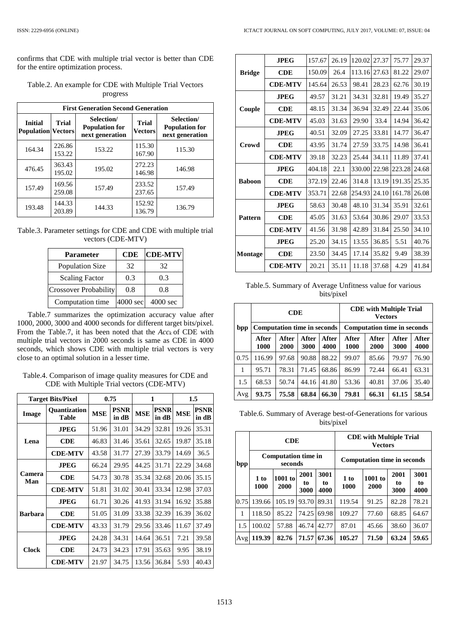confirms that CDE with multiple trial vector is better than CDE for the entire optimization process.

|                                                      | <b>First Generation Second Generation</b> |                                                        |                                |                                                        |  |  |  |  |  |  |  |
|------------------------------------------------------|-------------------------------------------|--------------------------------------------------------|--------------------------------|--------------------------------------------------------|--|--|--|--|--|--|--|
| <b>Initial</b><br>Trial<br><b>Population Vectors</b> |                                           | Selection/<br><b>Population for</b><br>next generation | <b>Trial</b><br><b>Vectors</b> | Selection/<br><b>Population for</b><br>next generation |  |  |  |  |  |  |  |
| 164.34                                               | 226.86<br>153.22                          | 153.22                                                 | 115.30<br>167.90               | 115.30                                                 |  |  |  |  |  |  |  |
| 476.45                                               | 363.43<br>195.02                          | 195.02                                                 | 272.23<br>146.98               | 146.98                                                 |  |  |  |  |  |  |  |
| 157.49                                               | 169.56<br>259.08                          | 157.49                                                 | 233.52<br>237.65               | 157.49                                                 |  |  |  |  |  |  |  |
| 193.48                                               | 144.33<br>203.89                          | 144.33                                                 | 152.92<br>136.79               | 136.79                                                 |  |  |  |  |  |  |  |

Table.2. An example for CDE with Multiple Trial Vectors progress

Table.3. Parameter settings for CDE and CDE with multiple trial vectors (CDE-MTV)

| <b>Parameter</b>             | <b>CDE</b> | <b>CDE-MTV</b>     |
|------------------------------|------------|--------------------|
| <b>Population Size</b>       | 32         | 32                 |
| <b>Scaling Factor</b>        | 0.3        | 0.3                |
| <b>Crossover Probability</b> | 0.8        | 0.8                |
| Computation time             | 4000 sec   | $4000 \text{ sec}$ |

Table.7 summarizes the optimization accuracy value after 1000, 2000, 3000 and 4000 seconds for different target bits/pixel. From the Table.7, it has been noted that the *Acc<sup>k</sup>* of CDE with multiple trial vectors in 2000 seconds is same as CDE in 4000 seconds, which shows CDE with multiple trial vectors is very close to an optimal solution in a lesser time.

Table.4. Comparison of image quality measures for CDE and CDE with Multiple Trial vectors (CDE-MTV)

| <b>Target Bits/Pixel</b> |                              |            | 0.75                 |            | 1                    | $1.5\,$    |               |  |
|--------------------------|------------------------------|------------|----------------------|------------|----------------------|------------|---------------|--|
| Image                    | <b>Ouantization</b><br>Table | <b>MSE</b> | <b>PSNR</b><br>in dB | <b>MSE</b> | <b>PSNR</b><br>in dB | <b>MSE</b> | PSNR<br>in dB |  |
|                          | <b>JPEG</b>                  | 51.96      | 31.01                | 34.29      | 32.81                | 19.26      | 35.31         |  |
| Lena                     | CDE                          | 46.83      | 31.46                | 35.61      | 32.65                | 19.87      | 35.18         |  |
|                          | <b>CDE-MTV</b>               | 43.58      | 31.77                | 27.39      | 33.79                | 14.69      | 36.5          |  |
|                          | <b>JPEG</b>                  | 66.24      | 29.95                | 44.25      | 31.71                | 22.29      | 34.68         |  |
| Camera<br>Man            | <b>CDE</b>                   | 54.73      | 30.78                | 35.34      | 32.68                | 20.06      | 35.15         |  |
|                          | <b>CDE-MTV</b>               | 51.81      | 31.02                | 30.41      | 33.34                | 12.98      | 37.03         |  |
|                          | <b>JPEG</b>                  | 61.71      | 30.26                | 41.93      | 31.94                | 16.92      | 35.88         |  |
| <b>Barbara</b>           | CDE                          | 51.05      | 31.09                | 33.38      | 32.39                | 16.39      | 36.02         |  |
|                          | <b>CDE-MTV</b>               | 43.33      | 31.79                | 29.56      | 33.46                | 11.67      | 37.49         |  |
| <b>Clock</b>             | JPEG.                        | 24.28      | 34.31                | 14.64      | 36.51                | 7.21       | 39.58         |  |
|                          | CDE                          | 24.73      | 34.23                | 17.91      | 35.63                | 9.95       | 38.19         |  |
|                          | <b>CDE-MTV</b>               | 21.97      | 34.75                | 13.56      | 36.84                | 5.93       | 40.43         |  |

|                | <b>JPEG</b>    | 157.67 | 26.19 | 120.02 | 27.37 | 75.77  | 29.37 |
|----------------|----------------|--------|-------|--------|-------|--------|-------|
| <b>Bridge</b>  | $\bf CDE$      | 150.09 | 26.4  | 113.16 | 27.63 | 81.22  | 29.07 |
|                | <b>CDE-MTV</b> | 145.64 | 26.53 | 98.41  | 28.23 | 62.76  | 30.19 |
|                | <b>JPEG</b>    | 49.57  | 31.21 | 34.31  | 32.81 | 19.49  | 35.27 |
| Couple         | <b>CDE</b>     | 48.15  | 31.34 | 36.94  | 32.49 | 22.44  | 35.06 |
|                | <b>CDE-MTV</b> | 45.03  | 31.63 | 29.90  | 33.4  | 14.94  | 36.42 |
|                | <b>JPEG</b>    | 40.51  | 32.09 | 27.25  | 33.81 | 14.77  | 36.47 |
| Crowd          | <b>CDE</b>     | 43.95  | 31.74 | 27.59  | 33.75 | 14.98  | 36.41 |
|                | <b>CDE-MTV</b> | 39.18  | 32.23 | 25.44  | 34.11 | 11.89  | 37.41 |
|                | <b>JPEG</b>    | 404.18 | 22.1  | 330.00 | 22.98 | 223.28 | 24.68 |
| <b>Baboon</b>  | $\bf CDE$      | 372.19 | 22.46 | 314.8  | 13.19 | 191.35 | 25.35 |
|                | <b>CDE-MTV</b> | 353.71 | 22.68 | 254.93 | 24.10 | 161.78 | 26.08 |
|                | <b>JPEG</b>    | 58.63  | 30.48 | 48.10  | 31.34 | 35.91  | 32.61 |
| <b>Pattern</b> | <b>CDE</b>     | 45.05  | 31.63 | 53.64  | 30.86 | 29.07  | 33.53 |
|                | <b>CDE-MTV</b> | 41.56  | 31.98 | 42.89  | 31.84 | 25.50  | 34.10 |
|                | <b>JPEG</b>    | 25.20  | 34.15 | 13.55  | 36.85 | 5.51   | 40.76 |
| Montage        | CDE            | 23.50  | 34.45 | 17.14  | 35.82 | 9.49   | 38.39 |
|                | <b>CDE-MTV</b> | 20.21  | 35.11 | 11.18  | 37.68 | 4.29   | 41.84 |

Table.5. Summary of Average Unfitness value for various bits/pixel

|      |                                    | <b>CDE</b>    |               |               |               | <b>CDE</b> with Multiple Trial<br><b>Vectors</b> |               |               |
|------|------------------------------------|---------------|---------------|---------------|---------------|--------------------------------------------------|---------------|---------------|
| bpp  | <b>Computation time in seconds</b> |               |               |               |               | <b>Computation time in seconds</b>               |               |               |
|      | After<br>1000                      | After<br>2000 | After<br>3000 | After<br>4000 | After<br>1000 | After<br>2000                                    | After<br>3000 | After<br>4000 |
| 0.75 | 116.99                             | 97.68         | 90.88         | 88.22         | 99.07         | 85.66                                            | 79.97         | 76.90         |
|      | 95.71                              | 78.31         | 71.45         | 68.86         | 86.99         | 72.44                                            | 66.41         | 63.31         |
| 1.5  | 68.53                              | 50.74         | 44.16         | 41.80         | 53.36         | 40.81                                            | 37.06         | 35.40         |
| Avg  | 93.75                              | 75.58         | 68.84         | 66.30         | 79.81         | 66.31                                            | 61.15         | 58.54         |

Table.6. Summary of Average best-of-Generations for various bits/pixel

|      |              | <b>CDE</b>                            |                    |                    | <b>CDE</b> with Multiple Trial<br><b>Vectors</b> |                 |                    |                    |
|------|--------------|---------------------------------------|--------------------|--------------------|--------------------------------------------------|-----------------|--------------------|--------------------|
| bpp  |              | <b>Computation time in</b><br>seconds |                    |                    | <b>Computation time in seconds</b>               |                 |                    |                    |
|      | 1 to<br>1000 | 1001 to<br>2000                       | 2001<br>to<br>3000 | 3001<br>to<br>4000 | 1 to<br>1000                                     | 1001 to<br>2000 | 2001<br>to<br>3000 | 3001<br>to<br>4000 |
| 0.75 | 139.66       | 105.19                                | 93.70              | 89.31              | 119.54                                           | 91.25           | 82.28              | 78.21              |
| 1    | 118.50       | 85.22                                 | 74.25              | 69.98              | 109.27                                           | 77.60           | 68.85              | 64.67              |
| 1.5  | 100.02       | 57.88                                 | 46.74              | 42.77              | 87.01                                            | 45.66           | 38.60              | 36.07              |
| Avg  | 119.39       | 82.76                                 | 71.57              | 67.36              | 105.27                                           | 71.50           | 63.24              | 59.65              |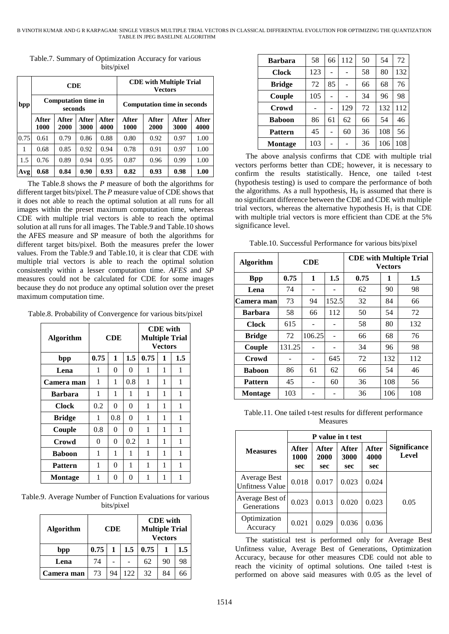|      |                                       | <b>CDE</b>    |               |                                    |               | <b>CDE</b> with Multiple Trial<br><b>Vectors</b> |               |               |
|------|---------------------------------------|---------------|---------------|------------------------------------|---------------|--------------------------------------------------|---------------|---------------|
| bpp  | <b>Computation time in</b><br>seconds |               |               | <b>Computation time in seconds</b> |               |                                                  |               |               |
|      | After<br>1000                         | After<br>2000 | After<br>3000 | After<br>4000                      | After<br>1000 | After<br>2000                                    | After<br>3000 | After<br>4000 |
| 0.75 | 0.61                                  | 0.79          | 0.86          | 0.88                               | 0.80          | 0.92                                             | 0.97          | 1.00          |
| 1    | 0.68                                  | 0.85          | 0.92          | 0.94                               | 0.78          | 0.91                                             | 0.97          | 1.00          |
| 1.5  | 0.76                                  | 0.89          | 0.94          | 0.95                               | 0.87          | 0.96                                             | 0.99          | 1.00          |
| Avg  | 0.68                                  | 0.84          | 0.90          | 0.93                               | 0.82          | 0.93                                             | 0.98          | 1.00          |

Table.7. Summary of Optimization Accuracy for various bits/pixel

The Table.8 shows the *P* measure of both the algorithms for different target bits/pixel. The *P* measure value of CDE showsthat it does not able to reach the optimal solution at all runs for all images within the preset maximum computation time, whereas CDE with multiple trial vectors is able to reach the optimal solution at all runs for all images. The Table.9 and Table.10 shows the AFES measure and SP measure of both the algorithms for different target bits/pixel. Both the measures prefer the lower values. From the Table.9 and Table.10, it is clear that CDE with multiple trial vectors is able to reach the optimal solution consistently within a lesser computation time. *AFES* and *SP* measures could not be calculated for CDE for some images because they do not produce any optimal solution over the preset maximum computation time.

Table.8. Probability of Convergence for various bits/pixel

| <b>Algorithm</b> |      | <b>CDE</b> |          |      |   | <b>CDE</b> with<br><b>Multiple Trial</b><br><b>Vectors</b> |  |  |
|------------------|------|------------|----------|------|---|------------------------------------------------------------|--|--|
| bpp              | 0.75 | 1          | 1.5      | 0.75 | 1 | $1.5\,$                                                    |  |  |
| Lena             | 1    | 0          | $\theta$ | 1    | 1 | 1                                                          |  |  |
| Camera man       | 1    | 1          | 0.8      | 1    | 1 | 1                                                          |  |  |
| <b>Barbara</b>   | 1    | 1          | 1        | 1    | 1 | 1                                                          |  |  |
| <b>Clock</b>     | 0.2  | 0          | $\theta$ | 1    | 1 | 1                                                          |  |  |
| <b>Bridge</b>    | 1    | 0.8        | $\theta$ | 1    | 1 | 1                                                          |  |  |
| Couple           | 0.8  | 0          | $\theta$ | 1    | 1 | 1                                                          |  |  |
| Crowd            | 0    | 0          | 0.2      | 1    | 1 | 1                                                          |  |  |
| <b>Baboon</b>    | 1    | 1<br>1     |          |      | 1 | 1                                                          |  |  |
| <b>Pattern</b>   | 1    | 0          | 1        | 1    | 1 | 1                                                          |  |  |
| Montage          | 1    | 0          | 0        | 1    | 1 | 1                                                          |  |  |

Table.9. Average Number of Function Evaluations for various bits/pixel

| <b>Algorithm</b> | <b>CDE</b> with<br><b>Multiple Trial</b><br>CDE |    |     |      | <b>Vectors</b> |     |
|------------------|-------------------------------------------------|----|-----|------|----------------|-----|
| bpp              | 0.75                                            | 1  | 1.5 | 0.75 |                | 1.5 |
| Lena             | 74                                              |    |     | 62   | 90             | 98  |
| Camera man       | 73                                              | 94 | 122 | 32   | 84             | 66  |

| <b>Barbara</b> | 58  | 66             | 112 | 50 | 54  | 72  |
|----------------|-----|----------------|-----|----|-----|-----|
| <b>Clock</b>   | 123 |                |     | 58 | 80  | 132 |
| <b>Bridge</b>  | 72  | 85             |     | 66 | 68  | 76  |
| Couple         | 105 |                |     | 34 | 96  | 98  |
| Crowd          |     | $\blacksquare$ | 129 | 72 | 132 | 112 |
| <b>Baboon</b>  | 86  | 61             | 62  | 66 | 54  | 46  |
| <b>Pattern</b> | 45  |                | 60  | 36 | 108 | 56  |
| Montage        | 103 |                |     | 36 | 106 | 108 |

The above analysis confirms that CDE with multiple trial vectors performs better than CDE; however, it is necessary to confirm the results statistically. Hence, one tailed t-test (hypothesis testing) is used to compare the performance of both the algorithms. As a null hypothesis,  $H_0$  is assumed that there is no significant difference between the CDE and CDE with multiple trial vectors, whereas the alternative hypothesis  $H_1$  is that CDE with multiple trial vectors is more efficient than CDE at the 5% significance level.

Table.10. Successful Performance for various bits/pixel

| <b>Algorithm</b> | <b>CDE</b> |        |       | <b>CDE</b> with Multiple Trial<br>Vectors |     |     |  |
|------------------|------------|--------|-------|-------------------------------------------|-----|-----|--|
| <b>Bpp</b>       | 0.75       | 1      | 1.5   | 0.75                                      | 1   | 1.5 |  |
| Lena             | 74         |        |       | 62                                        | 90  | 98  |  |
| Camera man       | 73         | 94     | 152.5 | 32                                        | 84  | 66  |  |
| <b>Barbara</b>   | 58         | 66     | 112   | 50                                        | 54  | 72  |  |
| <b>Clock</b>     | 615        |        |       | 58                                        | 80  | 132 |  |
| <b>Bridge</b>    | 72         | 106.25 |       | 66                                        | 68  | 76  |  |
| Couple           | 131.25     |        |       | 34                                        | 96  | 98  |  |
| Crowd            |            |        | 645   | 72                                        | 132 | 112 |  |
| <b>Baboon</b>    | 86         | 61     | 62    | 66                                        | 54  | 46  |  |
| <b>Pattern</b>   | 45         |        | 60    | 36                                        | 108 | 56  |  |
| <b>Montage</b>   | 103        |        |       | 36                                        | 106 | 108 |  |

Table.11. One tailed t-test results for different performance Measures

|                                        |                      | P value in t test    |                      |                             |                              |
|----------------------------------------|----------------------|----------------------|----------------------|-----------------------------|------------------------------|
| <b>Measures</b>                        | After<br>1000<br>sec | After<br>2000<br>sec | After<br>3000<br>sec | <b>After</b><br>4000<br>sec | <b>Significance</b><br>Level |
| Average Best<br><b>Unfitness Value</b> | 0.018                | 0.017                | 0.023                | 0.024                       |                              |
| Average Best of<br><b>Generations</b>  | 0.023                | 0.013                | 0.020                | 0.023                       | 0.05                         |
| Optimization<br>Accuracy               | 0.021                | 0.029                | 0.036                | 0.036                       |                              |

The statistical test is performed only for Average Best Unfitness value, Average Best of Generations, Optimization Accuracy, because for other measures CDE could not able to reach the vicinity of optimal solutions. One tailed t-test is performed on above said measures with 0.05 as the level of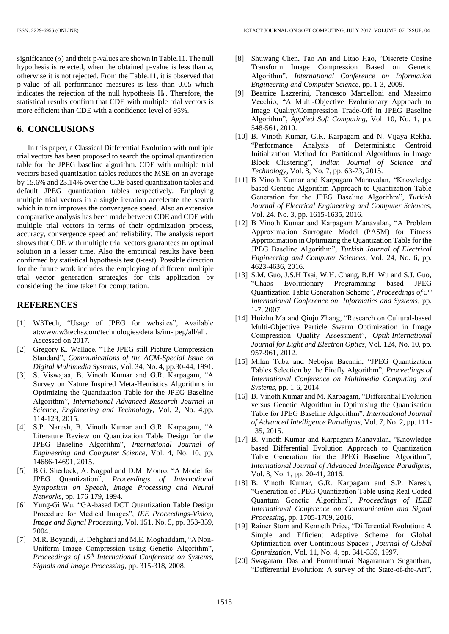significance  $(a)$  and their p-values are shown in Table.11. The null hypothesis is rejected, when the obtained p-value is less than *α*, otherwise it is not rejected. From the Table.11, it is observed that p-value of all performance measures is less than 0.05 which indicates the rejection of the null hypothesis  $H<sub>0</sub>$ . Therefore, the statistical results confirm that CDE with multiple trial vectors is more efficient than CDE with a confidence level of 95%.

### **6. CONCLUSIONS**

In this paper, a Classical Differential Evolution with multiple trial vectors has been proposed to search the optimal quantization table for the JPEG baseline algorithm. CDE with multiple trial vectors based quantization tables reduces the MSE on an average by 15.6% and 23.14% over the CDE based quantization tables and default JPEG quantization tables respectively. Employing multiple trial vectors in a single iteration accelerate the search which in turn improves the convergence speed. Also an extensive comparative analysis has been made between CDE and CDE with multiple trial vectors in terms of their optimization process, accuracy, convergence speed and reliability. The analysis report shows that CDE with multiple trial vectors guarantees an optimal solution in a lesser time. Also the empirical results have been confirmed by statistical hypothesis test (t-test). Possible direction for the future work includes the employing of different multiple trial vector generation strategies for this application by considering the time taken for computation.

### **REFERENCES**

- [1] W3Tech, "Usage of JPEG for websites", Available at:www.w3techs.com/technologies/details/im-jpeg/all/all. Accessed on 2017.
- [2] Gregory K. Wallace, "The JPEG still Picture Compression Standard", *Communications of the ACM-Special Issue on Digital Multimedia Systems*, Vol. 34, No. 4, pp.30-44, 1991.
- [3] S. Viswajaa, B. Vinoth Kumar and G.R. Karpagam, "A Survey on Nature Inspired Meta-Heuristics Algorithms in Optimizing the Quantization Table for the JPEG Baseline Algorithm", *International Advanced Research Journal in Science, Engineering and Technology*, Vol. 2, No. 4.pp. 114-123, 2015.
- [4] S.P. Naresh, B. Vinoth Kumar and G.R. Karpagam, "A Literature Review on Quantization Table Design for the JPEG Baseline Algorithm", *International Journal of Engineering and Computer Science*, Vol. 4, No. 10, pp. 14686-14691, 2015.
- [5] B.G. Sherlock, A. Nagpal and D.M. Monro, "A Model for JPEG Quantization", *Proceedings of International Symposium on Speech, Image Processing and Neural Networks*, pp. 176-179, 1994.
- [6] Yung-Gi Wu, "GA-based DCT Quantization Table Design Procedure for Medical Images", *IEE Proceedings-Vision, Image and Signal Processing*, Vol. 151, No. 5, pp. 353-359, 2004.
- [7] M.R. Boyandi, E. Dehghani and M.E. Moghaddam, "A Non-Uniform Image Compression using Genetic Algorithm", *Proceedings of 15th International Conference on Systems, Signals and Image Processing*, pp. 315-318, 2008.
- [8] Shuwang Chen, Tao An and Litao Hao, "Discrete Cosine Transform Image Compression Based on Genetic Algorithm", *International Conference on Information Engineering and Computer Science*, pp. 1-3, 2009.
- [9] Beatrice Lazzerini, Francesco Marcelloni and Massimo Vecchio, "A Multi-Objective Evolutionary Approach to Image Quality/Compression Trade-Off in JPEG Baseline Algorithm", *Applied Soft Computing*, Vol. 10, No. 1, pp. 548-561, 2010.
- [10] B. Vinoth Kumar, G.R. Karpagam and N. Vijaya Rekha, "Performance Analysis of Deterministic Centroid Initialization Method for Partitional Algorithms in Image Block Clustering", *Indian Journal of Science and Technology*, Vol. 8, No. 7, pp. 63-73, 2015.
- [11] B Vinoth Kumar and Karpagam Manavalan, "Knowledge based Genetic Algorithm Approach to Quantization Table Generation for the JPEG Baseline Algorithm", *Turkish Journal of Electrical Engineering and Computer Sciences*, Vol. 24. No. 3, pp. 1615-1635, 2016.
- [12] B Vinoth Kumar and Karpagam Manavalan, "A Problem Approximation Surrogate Model (PASM) for Fitness Approximation in Optimizing the Quantization Table for the JPEG Baseline Algorithm", *Turkish Journal of Electrical Engineering and Computer Sciences*, Vol. 24, No. 6, pp. 4623-4636, 2016.
- [13] S.M. Guo, J.S.H Tsai, W.H. Chang, B.H. Wu and S.J. Guo, "Chaos Evolutionary Programming based JPEG Quantization Table Generation Scheme", *Proceedings of 5th International Conference on Informatics and Systems*, pp. 1-7, 2007.
- [14] Huizhu Ma and Qiuju Zhang, "Research on Cultural-based Multi-Objective Particle Swarm Optimization in Image Compression Quality Assessment", *Optik-International Journal for Light and Electron Optics*, Vol. 124, No. 10, pp. 957-961, 2012.
- [15] Milan Tuba and Nebojsa Bacanin, "JPEG Quantization Tables Selection by the Firefly Algorithm", *Proceedings of International Conference on Multimedia Computing and Systems*, pp. 1-6, 2014.
- [16] B. Vinoth Kumar and M. Karpagam, "Differential Evolution versus Genetic Algorithm in Optimising the Quantisation Table for JPEG Baseline Algorithm", *International Journal of Advanced Intelligence Paradigms*, Vol. 7, No. 2, pp. 111- 135, 2015.
- [17] B. Vinoth Kumar and Karpagam Manavalan, "Knowledge based Differential Evolution Approach to Quantization Table Generation for the JPEG Baseline Algorithm", *International Journal of Advanced Intelligence Paradigms,* Vol. 8, No. 1, pp. 20-41, 2016.
- [18] B. Vinoth Kumar, G.R. Karpagam and S.P. Naresh, "Generation of JPEG Quantization Table using Real Coded Quantum Genetic Algorithm", *Proceedings of IEEE International Conference on Communication and Signal Processing*, pp. 1705-1709, 2016.
- [19] Rainer Storn and Kenneth Price, "Differential Evolution: A Simple and Efficient Adaptive Scheme for Global Optimization over Continuous Spaces", *Journal of Global Optimization*, Vol. 11, No. 4, pp. 341-359, 1997.
- [20] Swagatam Das and Ponnuthurai Nagaratnam Suganthan, "Differential Evolution: A survey of the State-of-the-Art",